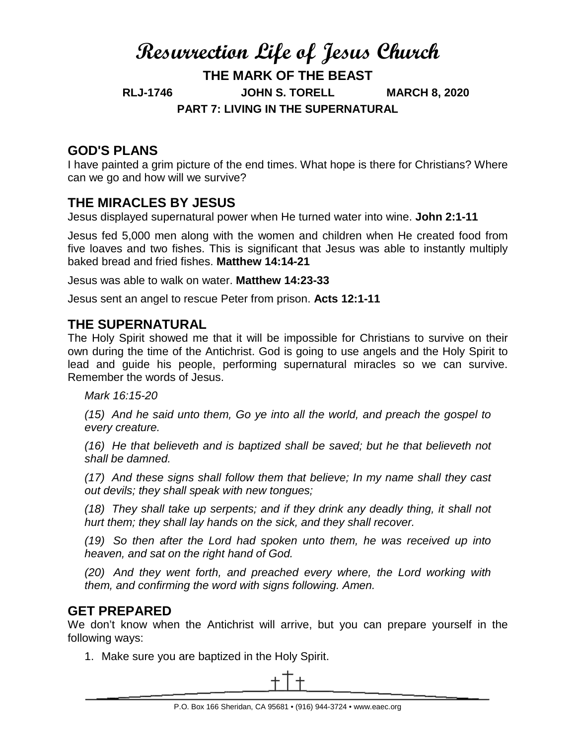# **Resurrection Life of Jesus Church THE MARK OF THE BEAST RLJ-1746 JOHN S. TORELL MARCH 8, 2020 PART 7: LIVING IN THE SUPERNATURAL**

### **GOD'S PLANS**

I have painted a grim picture of the end times. What hope is there for Christians? Where can we go and how will we survive?

### **THE MIRACLES BY JESUS**

Jesus displayed supernatural power when He turned water into wine. **John 2:1-11**

Jesus fed 5,000 men along with the women and children when He created food from five loaves and two fishes. This is significant that Jesus was able to instantly multiply baked bread and fried fishes. **Matthew 14:14-21**

Jesus was able to walk on water. **Matthew 14:23-33**

Jesus sent an angel to rescue Peter from prison. **Acts 12:1-11**

#### **THE SUPERNATURAL**

The Holy Spirit showed me that it will be impossible for Christians to survive on their own during the time of the Antichrist. God is going to use angels and the Holy Spirit to lead and guide his people, performing supernatural miracles so we can survive. Remember the words of Jesus.

*Mark 16:15-20*

*(15) And he said unto them, Go ye into all the world, and preach the gospel to every creature.*

*(16) He that believeth and is baptized shall be saved; but he that believeth not shall be damned.*

*(17) And these signs shall follow them that believe; In my name shall they cast out devils; they shall speak with new tongues;*

*(18) They shall take up serpents; and if they drink any deadly thing, it shall not hurt them; they shall lay hands on the sick, and they shall recover.*

*(19) So then after the Lord had spoken unto them, he was received up into heaven, and sat on the right hand of God.*

*(20) And they went forth, and preached every where, the Lord working with them, and confirming the word with signs following. Amen.*

#### **GET PREPARED**

We don't know when the Antichrist will arrive, but you can prepare yourself in the following ways:

1. Make sure you are baptized in the Holy Spirit.